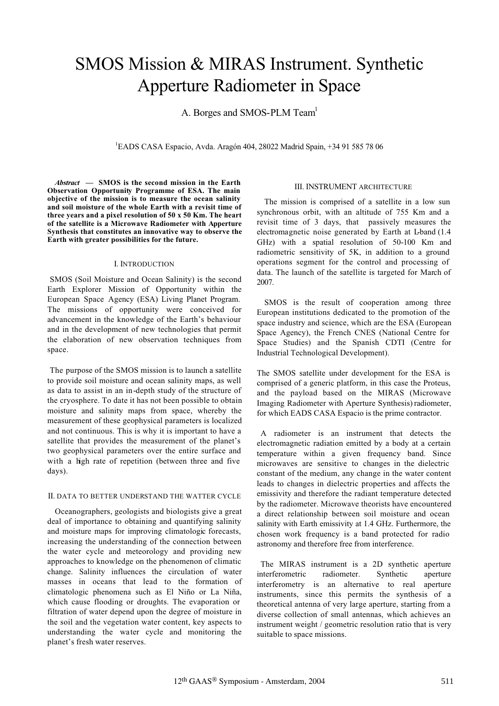# SMOS Mission & MIRAS Instrument. Synthetic Apperture Radiometer in Space

A. Borges and SMOS-PLM Team1

<sup>1</sup>EADS CASA Espacio, Avda. Aragón 404, 28022 Madrid Spain, +34 91 585 78 06

*Abstract* **— SMOS is the second mission in the Earth Observation Opportunity Programme of ESA. The main objective of the mission is to measure the ocean salinity and soil moisture of the whole Earth with a revisit time of three years and a pixel resolution of 50 x 50 Km. The heart of the satellite is a Microwave Radiometer with Apperture Synthesis that constitutes an innovative way to observe the Earth with greater possibilities for the future.**

## I. INTRODUCTION

SMOS (Soil Moisture and Ocean Salinity) is the second Earth Explorer Mission of Opportunity within the European Space Agency (ESA) Living Planet Program. The missions of opportunity were conceived for advancement in the knowledge of the Earth's behaviour and in the development of new technologies that permit the elaboration of new observation techniques from space.

The purpose of the SMOS mission is to launch a satellite to provide soil moisture and ocean salinity maps, as well as data to assist in an in-depth study of the structure of the cryosphere. To date it has not been possible to obtain moisture and salinity maps from space, whereby the measurement of these geophysical parameters is localized and not continuous. This is why it is important to have a satellite that provides the measurement of the planet's two geophysical parameters over the entire surface and with a high rate of repetition (between three and five days).

#### II. DATA TO BETTER UNDERSTAND THE WATTER CYCLE

Oceanographers, geologists and biologists give a great deal of importance to obtaining and quantifying salinity and moisture maps for improving climatologic forecasts, increasing the understanding of the connection between the water cycle and meteorology and providing new approaches to knowledge on the phenomenon of climatic change. Salinity influences the circulation of water masses in oceans that lead to the formation of climatologic phenomena such as El Niño or La Niña, which cause flooding or droughts. The evaporation or filtration of water depend upon the degree of moisture in the soil and the vegetation water content, key aspects to understanding the water cycle and monitoring the planet's fresh water reserves.

### III. INSTRUMENT ARCHITECTURE

The mission is comprised of a satellite in a low sun synchronous orbit, with an altitude of 755 Km and a revisit time of 3 days, that passively measures the electromagnetic noise generated by Earth at L-band (1.4 GHz) with a spatial resolution of 50-100 Km and radiometric sensitivity of 5K, in addition to a ground operations segment for the control and processing of data. The launch of the satellite is targeted for March of 2007.

SMOS is the result of cooperation among three European institutions dedicated to the promotion of the space industry and science, which are the ESA (European Space Agency), the French CNES (National Centre for Space Studies) and the Spanish CDTI (Centre for Industrial Technological Development).

The SMOS satellite under development for the ESA is comprised of a generic platform, in this case the Proteus, and the payload based on the MIRAS (Microwave Imaging Radiometer with Aperture Synthesis) radiometer, for which EADS CASA Espacio is the prime contractor.

 A radiometer is an instrument that detects the electromagnetic radiation emitted by a body at a certain temperature within a given frequency band. Since microwaves are sensitive to changes in the dielectric constant of the medium, any change in the water content leads to changes in dielectric properties and affects the emissivity and therefore the radiant temperature detected by the radiometer. Microwave theorists have encountered a direct relationship between soil moisture and ocean salinity with Earth emissivity at 1.4 GHz. Furthermore, the chosen work frequency is a band protected for radio astronomy and therefore free from interference.

 The MIRAS instrument is a 2D synthetic aperture interferometric radiometer. Synthetic aperture interferometry is an alternative to real aperture instruments, since this permits the synthesis of a theoretical antenna of very large aperture, starting from a diverse collection of small antennas, which achieves an instrument weight / geometric resolution ratio that is very suitable to space missions.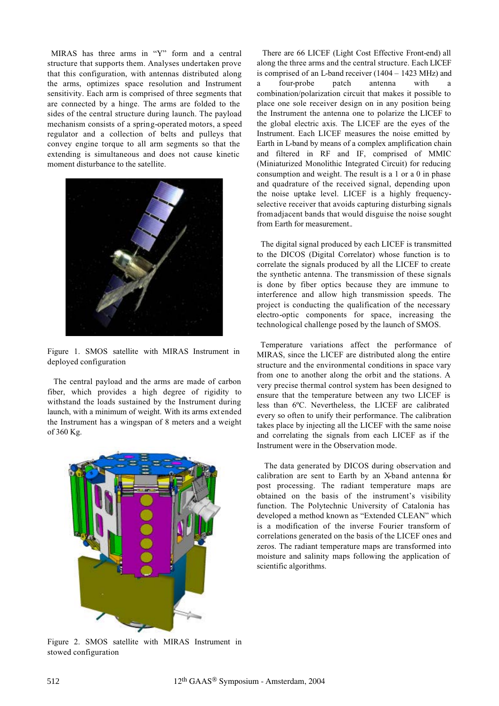MIRAS has three arms in "Y" form and a central structure that supports them. Analyses undertaken prove that this configuration, with antennas distributed along the arms, optimizes space resolution and Instrument sensitivity. Each arm is comprised of three segments that are connected by a hinge. The arms are folded to the sides of the central structure during launch. The payload mechanism consists of a spring-operated motors, a speed regulator and a collection of belts and pulleys that convey engine torque to all arm segments so that the extending is simultaneous and does not cause kinetic moment disturbance to the satellite.



Figure 1. SMOS satellite with MIRAS Instrument in deployed configuration

 The central payload and the arms are made of carbon fiber, which provides a high degree of rigidity to withstand the loads sustained by the Instrument during launch, with a minimum of weight. With its arms ext ended the Instrument has a wingspan of 8 meters and a weight of 360 Kg.



Figure 2. SMOS satellite with MIRAS Instrument in stowed configuration

 There are 66 LICEF (Light Cost Effective Front-end) all along the three arms and the central structure. Each LICEF is comprised of an L-band receiver (1404 – 1423 MHz) and a four-probe patch antenna with a combination/polarization circuit that makes it possible to place one sole receiver design on in any position being the Instrument the antenna one to polarize the LICEF to the global electric axis. The LICEF are the eyes of the Instrument. Each LICEF measures the noise emitted by Earth in L-band by means of a complex amplification chain and filtered in RF and IF, comprised of MMIC (Miniaturized Monolithic Integrated Circuit) for reducing consumption and weight. The result is a 1 or a 0 in phase and quadrature of the received signal, depending upon the noise uptake level. LICEF is a highly frequencyselective receiver that avoids capturing disturbing signals from adjacent bands that would disguise the noise sought from Earth for measurement..

 The digital signal produced by each LICEF is transmitted to the DICOS (Digital Correlator) whose function is to correlate the signals produced by all the LICEF to create the synthetic antenna. The transmission of these signals is done by fiber optics because they are immune to interference and allow high transmission speeds. The project is conducting the qualification of the necessary electro-optic components for space, increasing the technological challenge posed by the launch of SMOS.

 Temperature variations affect the performance of MIRAS, since the LICEF are distributed along the entire structure and the environmental conditions in space vary from one to another along the orbit and the stations. A very precise thermal control system has been designed to ensure that the temperature between any two LICEF is less than 6ºC. Nevertheless, the LICEF are calibrated every so often to unify their performance. The calibration takes place by injecting all the LICEF with the same noise and correlating the signals from each LICEF as if the Instrument were in the Observation mode.

The data generated by DICOS during observation and calibration are sent to Earth by an X-band antenna for post processing. The radiant temperature maps are obtained on the basis of the instrument's visibility function. The Polytechnic University of Catalonia has developed a method known as "Extended CLEAN" which is a modification of the inverse Fourier transform of correlations generated on the basis of the LICEF ones and zeros. The radiant temperature maps are transformed into moisture and salinity maps following the application of scientific algorithms.